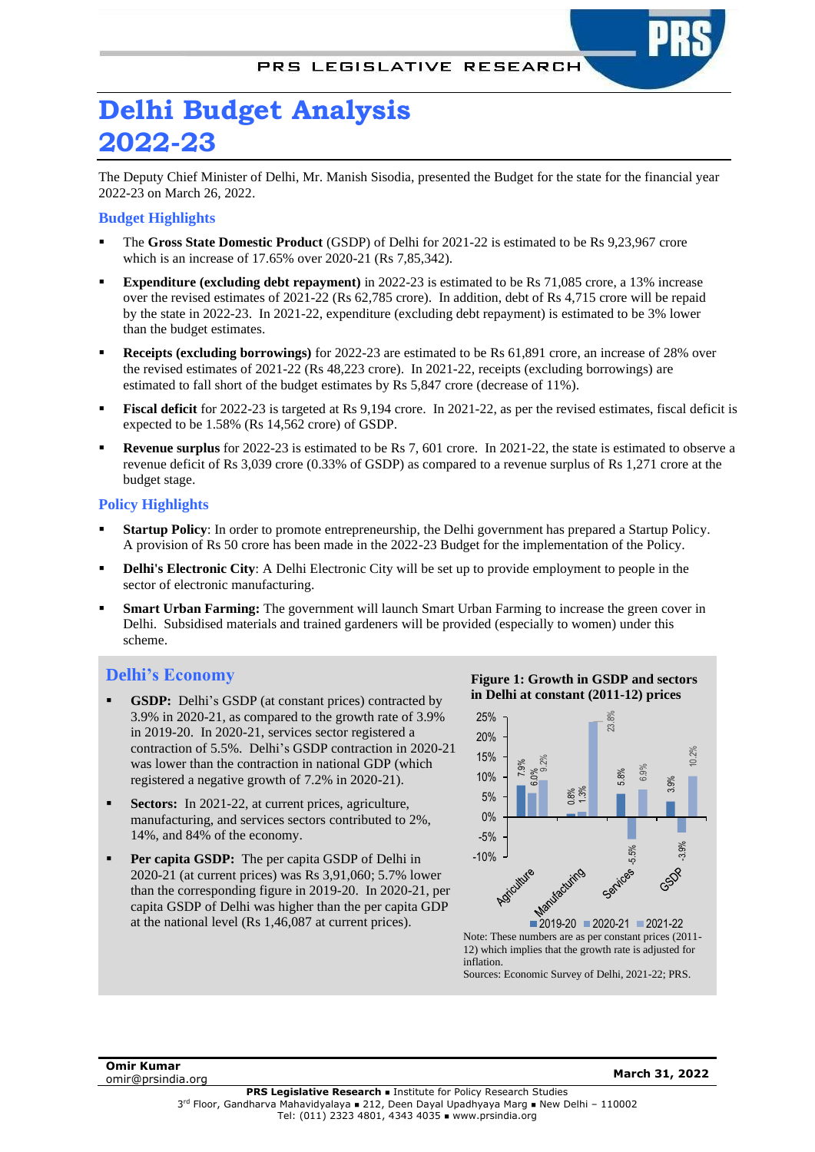

The Deputy Chief Minister of Delhi, Mr. Manish Sisodia, presented the Budget for the state for the financial year 2022-23 on March 26, 2022.

## **Budget Highlights**

- The **Gross State Domestic Product** (GSDP) of Delhi for 2021-22 is estimated to be Rs 9,23,967 crore which is an increase of 17.65% over 2020-21 (Rs 7,85,342).
- **Expenditure** (excluding debt repayment) in 2022-23 is estimated to be Rs 71,085 crore, a 13% increase over the revised estimates of 2021-22 (Rs 62,785 crore). In addition, debt of Rs 4,715 crore will be repaid by the state in 2022-23. In 2021-22, expenditure (excluding debt repayment) is estimated to be 3% lower than the budget estimates.
- **Receipts** (excluding borrowings) for 2022-23 are estimated to be Rs 61,891 crore, an increase of 28% over the revised estimates of 2021-22 (Rs 48,223 crore). In 2021-22, receipts (excluding borrowings) are estimated to fall short of the budget estimates by Rs 5,847 crore (decrease of 11%).
- **Fiscal deficit** for 2022-23 is targeted at Rs 9,194 crore. In 2021-22, as per the revised estimates, fiscal deficit is expected to be 1.58% (Rs 14,562 crore) of GSDP.
- **Revenue surplus** for 2022-23 is estimated to be Rs 7, 601 crore. In 2021-22, the state is estimated to observe a revenue deficit of Rs 3,039 crore (0.33% of GSDP) as compared to a revenue surplus of Rs 1,271 crore at the budget stage.

## **Policy Highlights**

- **Startup Policy**: In order to promote entrepreneurship, the Delhi government has prepared a Startup Policy. A provision of Rs 50 crore has been made in the 2022-23 Budget for the implementation of the Policy.
- **Delhi's Electronic City:** A Delhi Electronic City will be set up to provide employment to people in the sector of electronic manufacturing.
- **Smart Urban Farming:** The government will launch Smart Urban Farming to increase the green cover in Delhi. Subsidised materials and trained gardeners will be provided (especially to women) under this scheme.

# **Delhi's Economy**

- **GSDP:** Delhi's GSDP (at constant prices) contracted by 3.9% in 2020-21, as compared to the growth rate of 3.9% in 2019-20. In 2020-21, services sector registered a contraction of 5.5%. Delhi's GSDP contraction in 2020-21 was lower than the contraction in national GDP (which registered a negative growth of 7.2% in 2020-21).
- **Sectors:** In 2021-22, at current prices, agriculture, manufacturing, and services sectors contributed to 2%, 14%, and 84% of the economy.
- Per capita GSDP: The per capita GSDP of Delhi in 2020-21 (at current prices) was Rs 3,91,060; 5.7% lower than the corresponding figure in 2019-20. In 2020-21, per capita GSDP of Delhi was higher than the per capita GDP at the national level (Rs 1,46,087 at current prices).





Note: These numbers are as per constant prices (2011- 12) which implies that the growth rate is adjusted for inflation.

**Omir Kumar** omir@prsindia.org **March 31, 2022**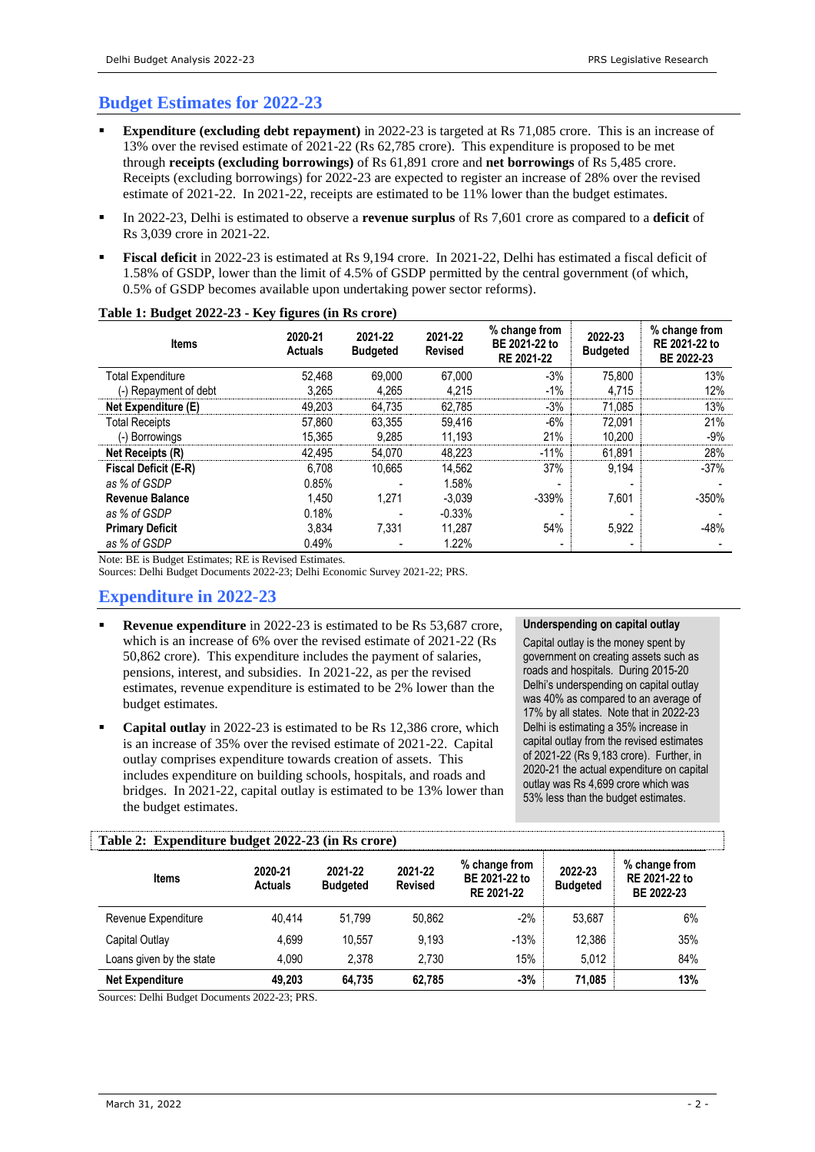# **Budget Estimates for 2022-23**

- **Expenditure** (excluding debt repayment) in 2022-23 is targeted at Rs 71,085 crore. This is an increase of 13% over the revised estimate of 2021-22 (Rs 62,785 crore). This expenditure is proposed to be met through **receipts (excluding borrowings)** of Rs 61,891 crore and **net borrowings** of Rs 5,485 crore. Receipts (excluding borrowings) for 2022-23 are expected to register an increase of 28% over the revised estimate of 2021-22. In 2021-22, receipts are estimated to be 11% lower than the budget estimates.
- In 2022-23, Delhi is estimated to observe a **revenue surplus** of Rs 7,601 crore as compared to a **deficit** of Rs 3,039 crore in 2021-22.
- **Fiscal deficit** in 2022-23 is estimated at Rs 9.194 crore. In 2021-22, Delhi has estimated a fiscal deficit of 1.58% of GSDP, lower than the limit of 4.5% of GSDP permitted by the central government (of which, 0.5% of GSDP becomes available upon undertaking power sector reforms).

| <b>Items</b>           | 2020-21<br><b>Actuals</b> | 2021-22<br><b>Budgeted</b> | 2021-22<br><b>Revised</b> | % change from<br>BE 2021-22 to<br>RE 2021-22 | 2022-23<br><b>Budgeted</b> | % change from<br>RE 2021-22 to<br>BE 2022-23 |
|------------------------|---------------------------|----------------------------|---------------------------|----------------------------------------------|----------------------------|----------------------------------------------|
| Total Expenditure      | 52,468                    | 69.000                     | 67,000                    | $-3%$                                        | 75,800                     | 13%                                          |
| (-) Repayment of debt  | 3.265                     | 4.265                      | 4.215                     | $-1\%$                                       | 4.715                      | 12%                                          |
| Net Expenditure (E)    | 49.203                    | 64,735                     | 62,785                    | $-3%$                                        | 71,085                     | 13%                                          |
| <b>Total Receipts</b>  | 57.860                    | 63.355                     | 59.416                    | $-6%$                                        | 72,091                     | 21%                                          |
| (-) Borrowings         | 15,365                    | 9.285                      | 11,193                    | 21%                                          | 10,200                     | -9%                                          |
| Net Receipts (R)       | 42.495                    | 54.070                     | 48.223                    | $-11%$                                       | 61,891                     | 28%                                          |
| Fiscal Deficit (E-R)   | 6.708                     | 10.665                     | 14.562                    | 37%                                          | 9,194                      | $-37%$                                       |
| as % of GSDP           | 0.85%                     |                            | 1.58%                     |                                              |                            |                                              |
| <b>Revenue Balance</b> | 1.450                     | 1.271                      | $-3,039$                  | $-339%$                                      | 7.601                      | $-350%$                                      |
| as % of GSDP           | 0.18%                     |                            | $-0.33%$                  |                                              |                            |                                              |
| <b>Primary Deficit</b> | 3.834                     | 7,331                      | 11.287                    | 54%                                          | 5,922                      | $-48%$                                       |
| as % of GSDP           | 0.49%                     |                            | 1.22%                     | $\overline{\phantom{a}}$                     |                            |                                              |

### **Table 1: Budget 2022-23 - Key figures (in Rs crore)**

Note: BE is Budget Estimates; RE is Revised Estimates.

Sources: Delhi Budget Documents 2022-23; Delhi Economic Survey 2021-22; PRS.

# **Expenditure in 2022-23**

- **Revenue expenditure** in 2022-23 is estimated to be Rs 53,687 crore, which is an increase of 6% over the revised estimate of 2021-22 (Rs 50,862 crore). This expenditure includes the payment of salaries, pensions, interest, and subsidies. In 2021-22, as per the revised estimates, revenue expenditure is estimated to be 2% lower than the budget estimates.
- **Capital outlay** in 2022-23 is estimated to be Rs 12,386 crore, which is an increase of 35% over the revised estimate of 2021-22. Capital outlay comprises expenditure towards creation of assets. This includes expenditure on building schools, hospitals, and roads and bridges. In 2021-22, capital outlay is estimated to be 13% lower than the budget estimates.

### **Underspending on capital outlay**

Capital outlay is the money spent by government on creating assets such as roads and hospitals. During 2015-20 Delhi's underspending on capital outlay was 40% as compared to an average of 17% by all states. Note that in 2022-23 Delhi is estimating a 35% increase in capital outlay from the revised estimates of 2021-22 (Rs 9,183 crore). Further, in 2020-21 the actual expenditure on capital outlay was Rs 4,699 crore which was 53% less than the budget estimates.

| Table 2: Expenditure budget 2022-23 (in Rs crore) |                           |                            |                           |                                              |                            |                                              |  |  |
|---------------------------------------------------|---------------------------|----------------------------|---------------------------|----------------------------------------------|----------------------------|----------------------------------------------|--|--|
| <b>Items</b>                                      | 2020-21<br><b>Actuals</b> | 2021-22<br><b>Budgeted</b> | 2021-22<br><b>Revised</b> | % change from<br>BE 2021-22 to<br>RE 2021-22 | 2022-23<br><b>Budgeted</b> | % change from<br>RE 2021-22 to<br>BE 2022-23 |  |  |
| Revenue Expenditure                               | 40.414                    | 51.799                     | 50,862                    | $-2%$                                        | 53.687                     | 6%                                           |  |  |
| Capital Outlay                                    | 4.699                     | 10.557                     | 9.193                     | $-13%$                                       | 12.386                     | 35%                                          |  |  |
| Loans given by the state                          | 4.090                     | 2.378                      | 2.730                     | 15%                                          | 5.012                      | 84%                                          |  |  |
| <b>Net Expenditure</b>                            | 49.203                    | 64.735                     | 62.785                    | $-3%$                                        | 71,085                     | 13%                                          |  |  |

Sources: Delhi Budget Documents 2022-23; PRS.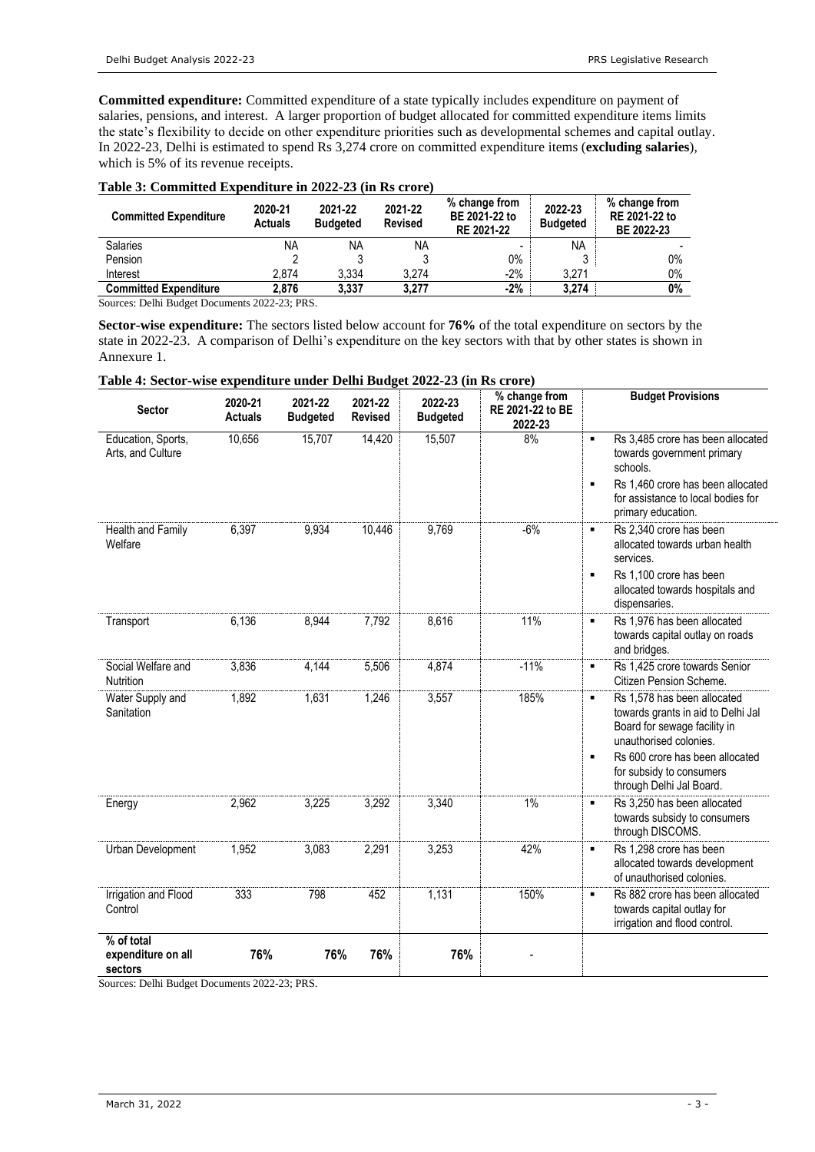**Committed expenditure:** Committed expenditure of a state typically includes expenditure on payment of salaries, pensions, and interest. A larger proportion of budget allocated for committed expenditure items limits the state's flexibility to decide on other expenditure priorities such as developmental schemes and capital outlay. In 2022-23, Delhi is estimated to spend Rs 3,274 crore on committed expenditure items (**excluding salaries**), which is 5% of its revenue receipts.

## **Table 3: Committed Expenditure in 2022-23 (in Rs crore)**

| <b>Committed Expenditure</b>            | 2020-21<br><b>Actuals</b> | 2021-22<br><b>Budgeted</b> | 2021-22<br><b>Revised</b> | % change from<br>BE 2021-22 to<br>RE 2021-22 | 2022-23<br><b>Budgeted</b> | % change from<br>RE 2021-22 to<br>BE 2022-23 |
|-----------------------------------------|---------------------------|----------------------------|---------------------------|----------------------------------------------|----------------------------|----------------------------------------------|
| <b>Salaries</b>                         | ΝA                        | NA                         | <b>NA</b>                 |                                              | <b>NA</b>                  |                                              |
| Pension                                 |                           |                            |                           | 0%                                           |                            | $0\%$                                        |
| Interest                                | 2.874                     | 3.334                      | 3.274                     | $-2%$                                        | 3.271                      | $0\%$                                        |
| <b>Committed Expenditure</b>            | 2.876                     | 3.337                      | 3.277                     | $-2%$                                        | 3.274                      | $0\%$                                        |
| $\sim$<br>$P_1$ $P_2$ $P_3$ $P_4$ $P_5$ | 0.022, 0.000              |                            |                           |                                              |                            |                                              |

Sources: Delhi Budget Documents 2022-23; PRS.

**Sector-wise expenditure:** The sectors listed below account for **76%** of the total expenditure on sectors by the state in 2022-23. A comparison of Delhi's expenditure on the key sectors with that by other states is shown in Annexure 1.

### **Table 4: Sector-wise expenditure under Delhi Budget 2022-23 (in Rs crore)**

| <b>Sector</b>                               | 2020-21<br><b>Actuals</b> | 2021-22<br><b>Budgeted</b> | 2021-22<br><b>Revised</b> | 2022-23<br><b>Budgeted</b> | % change from<br>RE 2021-22 to BE<br>2022-23 | <b>Budget Provisions</b>                                                                                                                                                                                                                      |
|---------------------------------------------|---------------------------|----------------------------|---------------------------|----------------------------|----------------------------------------------|-----------------------------------------------------------------------------------------------------------------------------------------------------------------------------------------------------------------------------------------------|
| Education, Sports,<br>Arts, and Culture     | 10,656                    | 15,707                     | 14,420                    | 15,507                     | 8%                                           | Rs 3,485 crore has been allocated<br>$\blacksquare$<br>towards government primary<br>schools.<br>Rs 1,460 crore has been allocated<br>٠<br>for assistance to local bodies for<br>primary education.                                           |
| Health and Family<br>Welfare                | 6,397                     | 9,934                      | 10,446                    | 9,769                      | $-6%$                                        | Rs 2,340 crore has been<br>٠<br>allocated towards urban health<br>services.<br>Rs 1,100 crore has been<br>٠<br>allocated towards hospitals and<br>dispensaries.                                                                               |
| Transport                                   | 6,136                     | 8,944                      | 7,792                     | 8,616                      | 11%                                          | Rs 1,976 has been allocated<br>٠<br>towards capital outlay on roads<br>and bridges.                                                                                                                                                           |
| Social Welfare and<br>Nutrition             | 3,836                     | 4,144                      | 5,506                     | 4,874                      | $-11%$                                       | Rs 1,425 crore towards Senior<br>٠<br>Citizen Pension Scheme.                                                                                                                                                                                 |
| Water Supply and<br>Sanitation              | 1,892                     | 1,631                      | 1,246                     | 3,557                      | 185%                                         | Rs 1,578 has been allocated<br>٠<br>towards grants in aid to Delhi Jal<br>Board for sewage facility in<br>unauthorised colonies.<br>Rs 600 crore has been allocated<br>$\blacksquare$<br>for subsidy to consumers<br>through Delhi Jal Board. |
| Energy                                      | 2,962                     | 3,225                      | 3,292                     | 3,340                      | 1%                                           | Rs 3,250 has been allocated<br>$\blacksquare$<br>towards subsidy to consumers<br>through DISCOMS.                                                                                                                                             |
| Urban Development                           | 1,952                     | 3,083                      | 2,291                     | 3,253                      | 42%                                          | Rs 1,298 crore has been<br>٠<br>allocated towards development<br>of unauthorised colonies.                                                                                                                                                    |
| Irrigation and Flood<br>Control             | 333                       | 798                        | 452                       | 1,131                      | 150%                                         | Rs 882 crore has been allocated<br>$\blacksquare$<br>towards capital outlay for<br>irrigation and flood control.                                                                                                                              |
| % of total<br>expenditure on all<br>sectors | 76%                       | 76%                        | 76%                       | 76%                        |                                              |                                                                                                                                                                                                                                               |

Sources: Delhi Budget Documents 2022-23; PRS.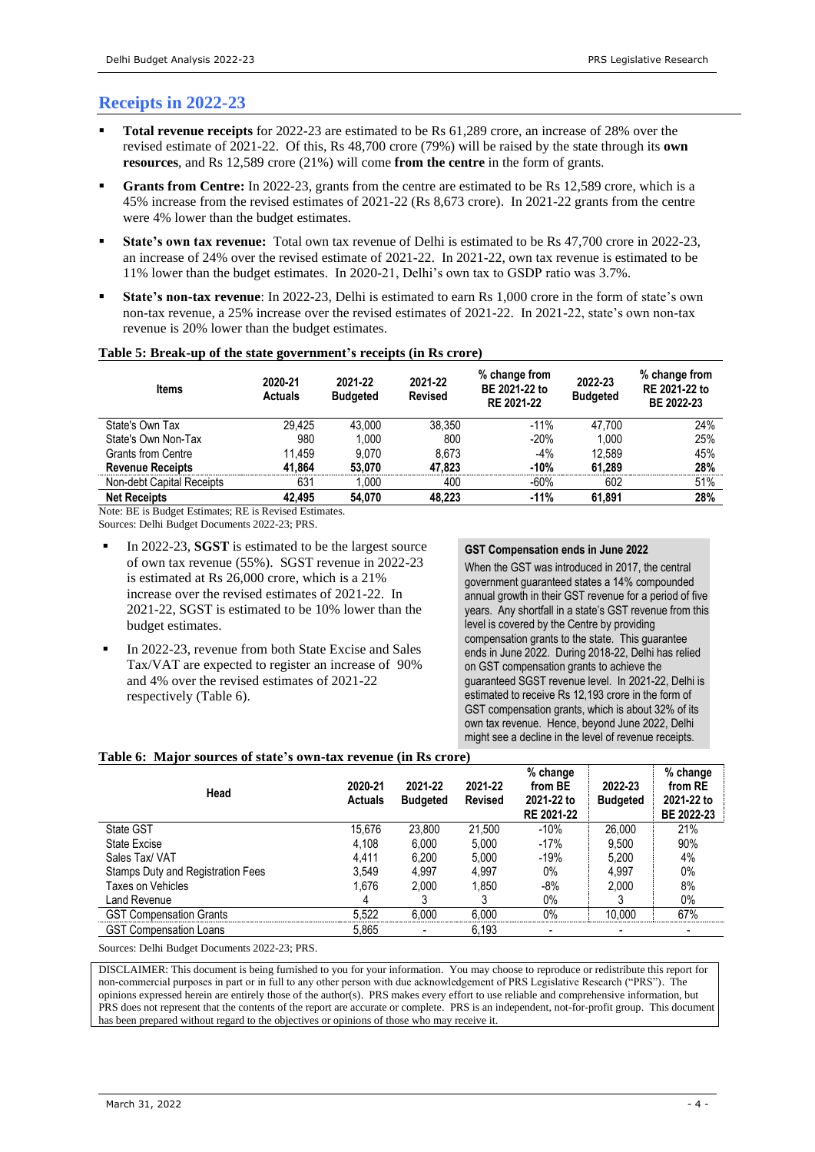# **Receipts in 2022-23**

- **Total revenue receipts** for 2022-23 are estimated to be Rs 61,289 crore, an increase of 28% over the revised estimate of 2021-22. Of this, Rs 48,700 crore (79%) will be raised by the state through its **own resources**, and Rs 12,589 crore (21%) will come **from the centre** in the form of grants.
- Grants from Centre: In 2022-23, grants from the centre are estimated to be Rs 12,589 crore, which is a 45% increase from the revised estimates of 2021-22 (Rs 8,673 crore). In 2021-22 grants from the centre were 4% lower than the budget estimates.
- **State's own tax revenue:** Total own tax revenue of Delhi is estimated to be Rs 47,700 crore in 2022-23, an increase of 24% over the revised estimate of 2021-22. In 2021-22, own tax revenue is estimated to be 11% lower than the budget estimates. In 2020-21, Delhi's own tax to GSDP ratio was 3.7%.
- **State's non-tax revenue**: In 2022-23, Delhi is estimated to earn Rs 1,000 crore in the form of state's own non-tax revenue, a 25% increase over the revised estimates of 2021-22. In 2021-22, state's own non-tax revenue is 20% lower than the budget estimates.

| Table 5: Break-up of the state government's receipts (in Rs crore) |  |  |
|--------------------------------------------------------------------|--|--|
|--------------------------------------------------------------------|--|--|

| <b>Items</b>              | 2020-21<br><b>Actuals</b> | 2021-22<br><b>Budgeted</b> | 2021-22<br><b>Revised</b> | % change from<br>BE 2021-22 to<br>RE 2021-22 | 2022-23<br><b>Budgeted</b> | % change from<br>RE 2021-22 to<br>BE 2022-23 |
|---------------------------|---------------------------|----------------------------|---------------------------|----------------------------------------------|----------------------------|----------------------------------------------|
| State's Own Tax           | 29.425                    | 43.000                     | 38.350                    | $-11%$                                       | 47.700                     | 24%                                          |
| State's Own Non-Tax       | 980                       | 1.000                      | 800                       | $-20%$                                       | 1.000                      | 25%                                          |
| <b>Grants from Centre</b> | 11.459                    | 9.070                      | 8.673                     | $-4%$                                        | 12.589                     | 45%                                          |
| <b>Revenue Receipts</b>   | 41.864                    | 53.070                     | 47.823                    | $-10%$                                       | 61.289                     | 28%                                          |
| Non-debt Capital Receipts | 631                       | 1.000                      | 400                       | $-60%$                                       | 602                        | 51%                                          |
| <b>Net Receipts</b>       | 42.495                    | 54.070                     | 48.223                    | $-11%$                                       | 61.891                     | 28%                                          |

Note: BE is Budget Estimates; RE is Revised Estimates.

Sources: Delhi Budget Documents 2022-23; PRS.

- In 2022-23, **SGST** is estimated to be the largest source of own tax revenue (55%). SGST revenue in 2022-23 is estimated at Rs 26,000 crore, which is a 21% increase over the revised estimates of 2021-22. In 2021-22, SGST is estimated to be 10% lower than the budget estimates.
- In 2022-23, revenue from both State Excise and Sales Tax/VAT are expected to register an increase of 90% and 4% over the revised estimates of 2021-22 respectively (Table 6).

#### **GST Compensation ends in June 2022**

When the GST was introduced in 2017, the central government guaranteed states a 14% compounded annual growth in their GST revenue for a period of five years. Any shortfall in a state's GST revenue from this level is covered by the Centre by providing compensation grants to the state. This guarantee ends in June 2022. During 2018-22, Delhi has relied on GST compensation grants to achieve the guaranteed SGST revenue level. In 2021-22, Delhi is estimated to receive Rs 12,193 crore in the form of GST compensation grants, which is about 32% of its own tax revenue. Hence, beyond June 2022, Delhi might see a decline in the level of revenue receipts.

### **Table 6: Major sources of state's own-tax revenue (in Rs crore)**

| Head                              | 2020-21<br><b>Actuals</b> | 2021-22<br><b>Budgeted</b> | 2021-22<br><b>Revised</b> | % change<br>from BE<br>2021-22 to<br>RE 2021-22 | 2022-23<br><b>Budgeted</b> | % change<br>from RE<br>2021-22 to<br>BE 2022-23 |
|-----------------------------------|---------------------------|----------------------------|---------------------------|-------------------------------------------------|----------------------------|-------------------------------------------------|
| State GST                         | 15.676                    | 23.800                     | 21.500                    | $-10%$                                          | 26,000                     | 21%                                             |
| <b>State Excise</b>               | 4,108                     | 6,000                      | 5.000                     | $-17%$                                          | 9.500                      | 90%                                             |
| Sales Tax/ VAT                    | 4.411                     | 6,200                      | 5.000                     | $-19%$                                          | 5.200                      | 4%                                              |
| Stamps Duty and Registration Fees | 3,549                     | 4.997                      | 4.997                     | $0\%$                                           | 4.997                      | 0%                                              |
| Taxes on Vehicles                 | 1.676                     | 2.000                      | 1.850                     | $-8%$                                           | 2.000                      | 8%                                              |
| Land Revenue                      | 4                         |                            |                           | $0\%$                                           |                            | $0\%$                                           |
| <b>GST Compensation Grants</b>    | 5,522                     | 6.000                      | 6.000                     | $0\%$                                           | 10.000                     | 67%                                             |
| <b>GST Compensation Loans</b>     | 5,865                     |                            | 6,193                     |                                                 | -                          | $\overline{\phantom{0}}$                        |

Sources: Delhi Budget Documents 2022-23; PRS.

DISCLAIMER: This document is being furnished to you for your information. You may choose to reproduce or redistribute this report for non-commercial purposes in part or in full to any other person with due acknowledgement of PRS Legislative Research ("PRS"). The opinions expressed herein are entirely those of the author(s). PRS makes every effort to use reliable and comprehensive information, but PRS does not represent that the contents of the report are accurate or complete. PRS is an independent, not-for-profit group. This document has been prepared without regard to the objectives or opinions of those who may receive it.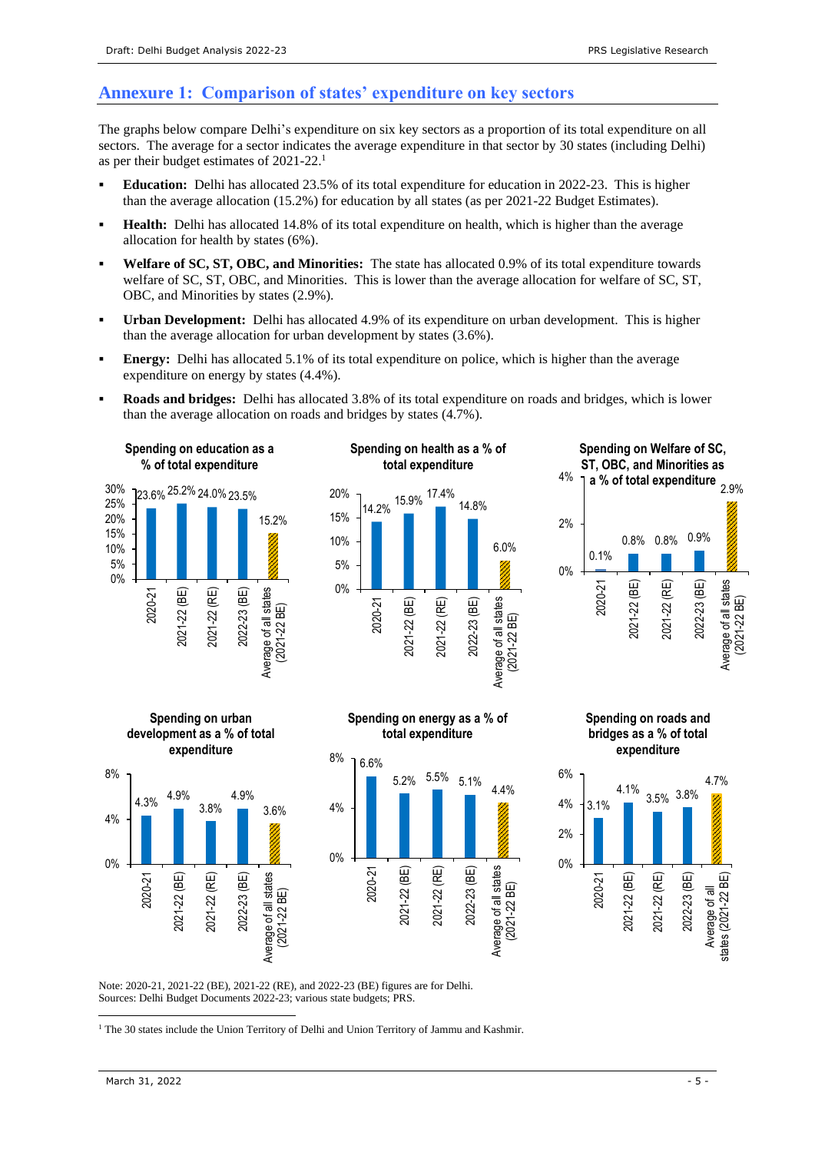## **Annexure 1: Comparison of states' expenditure on key sectors**

The graphs below compare Delhi's expenditure on six key sectors as a proportion of its total expenditure on all sectors. The average for a sector indicates the average expenditure in that sector by 30 states (including Delhi) as per their budget estimates of 2021-22.<sup>1</sup>

- **Education:** Delhi has allocated 23.5% of its total expenditure for education in 2022-23. This is higher than the average allocation (15.2%) for education by all states (as per 2021-22 Budget Estimates).
- **Health:** Delhi has allocated 14.8% of its total expenditure on health, which is higher than the average allocation for health by states (6%).
- Welfare of SC, ST, OBC, and Minorities: The state has allocated 0.9% of its total expenditure towards welfare of SC, ST, OBC, and Minorities. This is lower than the average allocation for welfare of SC, ST, OBC, and Minorities by states (2.9%).
- **Urban Development:** Delhi has allocated 4.9% of its expenditure on urban development. This is higher than the average allocation for urban development by states (3.6%).
- **Energy:** Delhi has allocated 5.1% of its total expenditure on police, which is higher than the average expenditure on energy by states (4.4%).
- **Roads and bridges:** Delhi has allocated 3.8% of its total expenditure on roads and bridges, which is lower than the average allocation on roads and bridges by states (4.7%).













(2021-22 BE)





Note: 2020-21, 2021-22 (BE), 2021-22 (RE), and 2022-23 (BE) figures are for Delhi. Sources: Delhi Budget Documents 2022-23; various state budgets; PRS.

<sup>1</sup> The 30 states include the Union Territory of Delhi and Union Territory of Jammu and Kashmir.